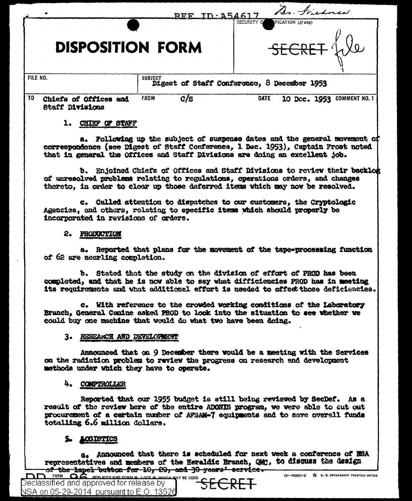|          |                                          |                                                               | TD: 154617<br>REF_ | Dr. Friedman                                        |
|----------|------------------------------------------|---------------------------------------------------------------|--------------------|-----------------------------------------------------|
|          | <b>DISPOSITION FORM</b>                  |                                                               |                    | SECURITY OF<br>FICATION (If any)<br>SECRET We       |
| FILE NO. |                                          | <b>SUBJECT</b><br>Digest of Staff Conference, 8 December 1953 |                    |                                                     |
| TO.      | Chiefs of Offices and<br>Staff Divisions | <b>FROM</b>                                                   | C/S                | <b>DATE</b><br><b>COMMENT NO. 1</b><br>10 Dec. 1953 |

## 1. CHIEF OF STAFF

a. Following up the subject of suspense dates and the general movement of correspondence (see Digest of Staff Conference, 1 Dec. 1953). Captain Frost noted that in general the Offices and Staff Divisions are doing an excellent job.

b. Enjoined Chiefs of Offices and Staff Divisions to review their backlog of unresolved problems relating to regulations, operations orders, and changes thereto, in order to clear up those deferred items which may now be resolved.

c. Called attention to dispatches to our customers, the Cryptologic Agencies, and others, relating to specific items which should properly be incorporated in revisions of orders.

### 2. PRODUCTION

a. Reported that plans for the movement of the tape-processing function of 62 are nearling completion.

b. Stated that the study on the division of effort of PROD has been completed, and that he is now able to say what difficiencies PROD has in meeting its requirements and what additional effort is needed to offset those deficiencies.

c. With reference to the crowled working conditions of the Laboratory Branch, General Canine asked PROD to look into the situation to see whether we could buy one machine that would do what two have been doing.

### 3. RESEARCH AND DEVELOPMENT

Announced that on 9 December there would be a meeting with the Services on the radiation problem to review the progress on research and development methods under which they have to operate.

# 4. COMPTROLLER

Reported that our 1955 budget is still being reviewed by SecDef. As a result of the review here of the entire ADONIS program, we were able to cut out procurement of a certain number of AFSAM-7 equipments and to save overall funds totalling 6.6 million dollars.

# 5. LOGISTICS

a. Announced that there is scheduled for next week a conference of NSA representatives and members of the Heraldic Branch, OM;, to discuss the design of the lapel button for 10, 20, and 30 years' scrvice.

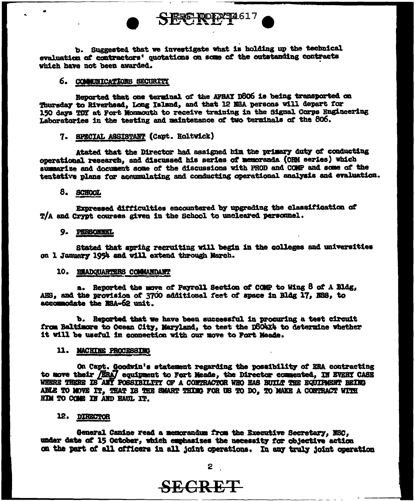b. Suggested that we investigate what is holding up the technical evaluation of contractors' quotations on some of the outstanding contracts which have not been awarded.

SERE ROLLER 12617

#### 6. COMMUNICATIONS SECURITY

Reported that one terminal of the AFSAY D806 is being transported on Thursday to Riverhead, Long Island, and that 12 NSA persons will depart for 150 days TDY at Fort Monmouth to receive training in the Signal Corps Engineering Laboratories in the testing and maintenance of two terminals of the 806.

## 7. SPECIAL ASSISTANT (Capt. Roltvick)

Atated that the Director had assigned bim the primary duty of conducting operational research, and discussed his series of memoranda (ORM series) which summarize and document some of the discussions with PROD and COMP and some of the tentative plans for accumulating and conducting operational analysis and evaluation.

#### 8. SCHOOL

Expressed difficulties encountered by upgrading the classification of T/A and Crypt courses given in the School to uncleared personnel.

#### 9. PERSONNEL

Stated that apring recruiting will begin in the colleges and universities on 1 January 1954 and will extend through March.

#### 10. HEADQUARTERS COMMANDANT

a. Reported the move of Payroll Section of COMP to Wing 8 of A Bldg, AHS, and the provision of 3700 additional feet of space in Bldg 17, NSS, to accommodate the NSA-62 unit.

b. Reported that we have been successful in procuring a test circuit from Baltimore to Ocean City, Maryland, to test the DSO4X4 to determine whether it will be useful in connection with our move to Fort Meade.

#### 11. MACHINE PROCESSING

On Capt. Goodwin's statement regarding the possibility of ERA contracting to move their /ERA/ equipment to Fort Meade, the Director commented, IN EVERY CASE WHERE THERE IS ANY POSSIBILITY OF A CONTRACTOR WHO HAS BUILT THE EQUIPMENT BEING ABLE TO MOVE IT. THAT IS THE SMART THIMG FOR US TO DO. TO MAKE A CONTRACT WITH HIM TO COME IN AND HAUL IT.

#### 12. DIRECTOR

General Canine read a memorandum from the Executive Secretary, NSC, under date of 15 October, which emphasizes the necessity for objective action on the part of all officers in all joint operations. In any truly joint operation

# **SECRET**